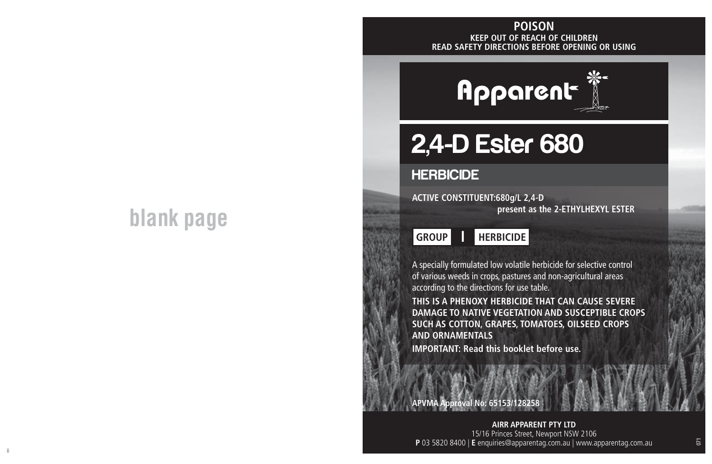## **blank page**

#### **KEEP OUT OF REACH OF CHILDREN READ SAFETY DIRECTIONS BEFORE OPENING OR USING POISON**



# 2,4-D Ester 680

## **HERBICIDE**

**ACTIVE CONSTITUENT:680g/L 2,4-D present as the 2-ETHYLHEXYL ESTER**



A specially formulated low volatile herbicide for selective control of various weeds in crops, pastures and non-agricultural areas according to the directions for use table.

**THIS IS A PHENOXY HERBICIDE THAT CAN CAUSE SEVERE DAMAGE TO NATIVE VEGETATION AND SUSCEPTIBLE CROPS SUCH AS COTTON, GRAPES, TOMATOES, OILSEED CROPS AND ORNAMENTALS**

**IMPORTANT: Read this booklet before use.**

**APVMA Approval No: 65153/128258**

ii aastad oo dhaqaala iyo dhaqaala iyo dhaqaala iyo dhaqaala iyo dhaqaala iyo dhaqaala iyo dhaqaala iyo dhaqaa<br>Iir **AIRR APPARENT PTY LTD** 15/16 Princes Street, Newport NSW 2106 **P** 03 5820 8400 | **E** enquiries@apparentag.com.au | www.apparentag.com.au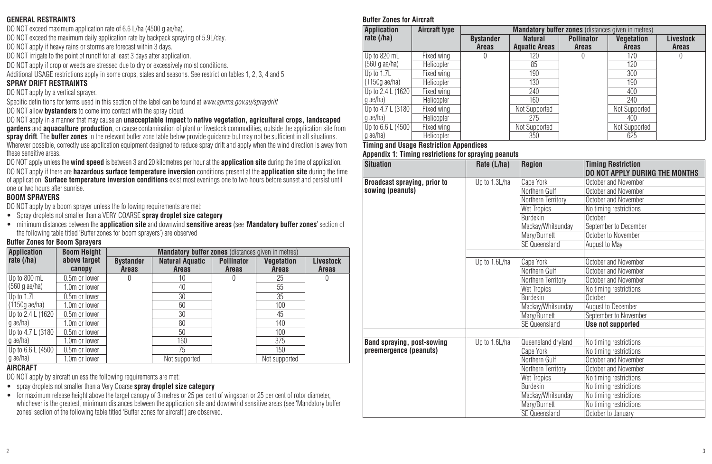#### **GENERAL RESTRAINTS**

DO NOT exceed maximum application rate of 6.6 L/ha (4500 g ae/ha).

DO NOT exceed the maximum daily application rate by backpack spraying of 5.9L/day.

DO NOT apply if heavy rains or storms are forecast within 3 days.

DO NOT irrigate to the point of runoff for at least 3 days after application.

DO NOT apply if crop or weeds are stressed due to dry or excessively moist conditions.

Additional USAGE restrictions apply in some crops, states and seasons. See restriction tables 1, 2, 3, 4 and 5.

#### **SPRAY DRIFT RESTRAINTS**

DO NOT apply by a vertical sprayer.

Specific definitions for terms used in this section of the label can be found at *www.apvma.gov.au/spraydrift*

DO NOT allow **bystanders** to come into contact with the spray cloud.

DO NOT apply in a manner that may cause an **unacceptable impact** to **native vegetation, agricultural crops, landscaped gardens** and **aquaculture production**, or cause contamination of plant or livestock commodities, outside the application site from **spray drift**. The **buffer zones** in the relevant buffer zone table below provide guidance but may not be sufficient in all situations. Wherever possible, correctly use application equipment designed to reduce spray drift and apply when the wind direction is away from these sensitive areas.

DO NOT apply unless the **wind speed** is between 3 and 20 kilometres per hour at the **application site** during the time of application. DO NOT apply if there are **hazardous surface temperature inversion** conditions present at the **application site** during the time of application. **Surface temperature inversion conditions** exist most evenings one to two hours before sunset and persist until one or two hours after sunrise.

#### **BOOM SPRAYERS**

DO NOT apply by a boom sprayer unless the following requirements are met:

- Spray droplets not smaller than a VERY COARSE **spray droplet size category**
- minimum distances between the **application site** and downwind **sensitive areas** (see '**Mandatory buffer zones**' section of the following table titled 'Buffer zones for boom sprayers') are observed

#### **Buffer Zones for Boom Sprayers**

| <b>Application</b> | <b>Boom Height</b> | <b>Mandatory buffer zones</b> (distances given in metres) |                        |                   |               |                  |  |
|--------------------|--------------------|-----------------------------------------------------------|------------------------|-------------------|---------------|------------------|--|
| rate $($ /ha $)$   | above target       | <b>Bystander</b>                                          | <b>Natural Aquatic</b> | <b>Pollinator</b> | Vegetation    | <b>Livestock</b> |  |
|                    | canopy             | Areas                                                     | <b>Areas</b>           | Areas             | Areas         | Areas            |  |
| Up to 800 mL       | 0.5m or lower      |                                                           | 10                     | 0                 | 25            | U                |  |
| $(560q$ ae/ha)     | 1.0m or lower      |                                                           | 40                     |                   | 55            |                  |  |
| Up to 1.7L         | 0.5m or lower      |                                                           | 30                     |                   | 35            |                  |  |
| $(1150q$ ae/ha)    | 1.0m or lower      |                                                           | 60                     |                   | 100           |                  |  |
| Up to 2.4 L (1620  | 0.5m or lower      |                                                           | 30                     |                   | 45            |                  |  |
| g ae/ha)           | 1.0m or lower      |                                                           | 80                     |                   | 140           |                  |  |
| Up to 4.7 L (3180  | 0.5m or lower      |                                                           | 50                     |                   | 100           |                  |  |
| g ae/ha)           | 1.0m or lower      |                                                           | 160                    |                   | 375           |                  |  |
| Up to 6.6 L (4500  | 0.5m or lower      |                                                           | 75                     |                   | 150           |                  |  |
| g ae/ha)           | 1.0m or lower      |                                                           | Not supported          |                   | Not supported |                  |  |

#### **AIRCRAFT**

DO NOT apply by aircraft unless the following requirements are met:

- spray droplets not smaller than a Very Coarse **spray droplet size category**
- for maximum release height above the target canopy of 3 metres or 25 per cent of wingspan or 25 per cent of rotor diameter. whichever is the greatest, minimum distances between the application site and downwind sensitive areas (see 'Mandatory buffer zones' section of the following table titled 'Buffer zones for aircraft') are observed.

#### **Buffer Zones for Aircraft**

| <b>Application</b>      | Aircraft type | <b>Mandatory buffer zones</b> (distances given in metres) |                      |                   |               |           |  |
|-------------------------|---------------|-----------------------------------------------------------|----------------------|-------------------|---------------|-----------|--|
| rate $(/\text{ha})$     |               | <b>Bystander</b>                                          | <b>Natural</b>       | <b>Pollinator</b> | Vegetation    | Livestock |  |
|                         |               | Areas                                                     | <b>Aquatic Areas</b> | Areas             | <b>Areas</b>  | Areas     |  |
| Up to 820 mL            | Fixed wing    | O                                                         | 120                  | U                 | 170           | O         |  |
| (560 g ae/ha)           | Helicopter    |                                                           | 85                   |                   | 120           |           |  |
| Up to 1.7L              | Fixed wing    |                                                           | 190                  |                   | 300           |           |  |
| $(1150q \text{ ae/ha})$ | Helicopter    |                                                           | 130                  |                   | 190           |           |  |
| Up to 2.4 L (1620)      | Fixed wing    |                                                           | 240                  |                   | 400           |           |  |
| $ g \rangle$ ae/ha      | Helicopter    |                                                           | 160                  |                   | 240           |           |  |
| Up to 4.7 L (3180       | Fixed wing    |                                                           | Not Supported        |                   | Not Supported |           |  |
| I g ae/ha)              | Helicopter    |                                                           | 275                  |                   | 400           |           |  |
| Up to 6.6 L (4500       | Fixed wing    |                                                           | Not Supported        |                   | Not Supported |           |  |
| g ae/ha)                | Helicopter    |                                                           | 350                  |                   | 625           |           |  |

#### **Timing and Usage Restriction Appendices**

#### **Appendix 1: Timing restrictions for spraying peanuts**

| <b>Situation</b>             | Rate (L/ha)   | Region               | <b>Timing Restriction</b><br>DO NOT APPLY DURING THE MONTHS |
|------------------------------|---------------|----------------------|-------------------------------------------------------------|
| Broadcast spraying, prior to | Up to 1.3L/ha | Cape York            | October and November                                        |
| sowing (peanuts)             |               | Northern Gulf        | October and November                                        |
|                              |               | Northern Territory   | October and November                                        |
|                              |               | Wet Tropics          | No timing restrictions                                      |
|                              |               | Burdekin             | October                                                     |
|                              |               | Mackay/Whitsunday    | September to December                                       |
|                              |               | Mary/Burnett         | October to November                                         |
|                              |               | <b>SE Queensland</b> | August to May                                               |
|                              |               |                      |                                                             |
|                              | Up to 1.6L/ha | Cape York            | October and November                                        |
|                              |               | Northern Gulf        | October and November                                        |
|                              |               | Northern Territory   | October and November                                        |
|                              |               | Wet Tropics          | No timing restrictions                                      |
|                              |               | Burdekin             | October                                                     |
|                              |               | Mackay/Whitsunday    | August to December                                          |
|                              |               | Mary/Burnett         | September to November                                       |
|                              |               | SE Queensland        | Use not supported                                           |
|                              |               |                      |                                                             |
| Band spraying, post-sowing   | Up to 1.6L/ha | Queensland dryland   | No timing restrictions                                      |
| preemergence (peanuts)       |               | Cape York            | No timing restrictions                                      |
|                              |               | Northern Gulf        | October and November                                        |
|                              |               | Northern Territory   | October and November                                        |
|                              |               | Wet Tropics          | No timing restrictions                                      |
|                              |               | Burdekin             | No timing restrictions                                      |
|                              |               | Mackay/Whitsunday    | No timing restrictions                                      |
|                              |               | Mary/Burnett         | No timing restrictions                                      |
|                              |               | SE Queensland        | October to January                                          |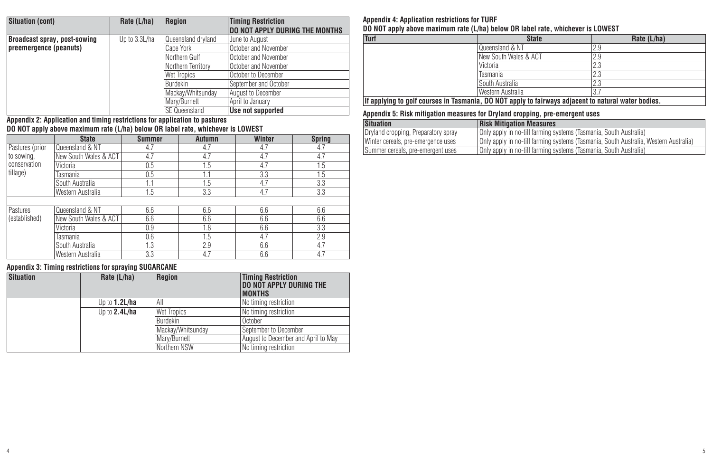| <b>Situation (cont)</b>      | Rate (L/ha)   | Region             | <b>Timing Restriction</b><br><b>DO NOT APPLY DURING THE MONTHS</b> |
|------------------------------|---------------|--------------------|--------------------------------------------------------------------|
| Broadcast spray, post-sowing | Up to 3.3L/ha | Queensland drvland | June to August                                                     |
| preemergence (peanuts)       |               | Cape York          | October and November                                               |
|                              |               | Northern Gulf      | October and November                                               |
|                              |               | Northern Territory | October and November                                               |
|                              |               | Wet Tropics        | October to December                                                |
|                              |               | <b>Burdekin</b>    | September and October                                              |
|                              |               | Mackay/Whitsunday  | August to December                                                 |
|                              |               | Mary/Burnett       | April to January                                                   |
|                              |               | SE Queensland      | Use not supported                                                  |

## SE Queensland **Use not supported Appendix 2: Application and timing restrictions for application to pastures DO NOT apply above maximum rate (L/ha) below OR label rate, whichever is LOWEST**

|                 | <b>State</b>          | <b>Summer</b> | Autumn | Winter | <b>Spring</b> |  |
|-----------------|-----------------------|---------------|--------|--------|---------------|--|
| Pastures (prior | Queensland & NT       | 4.7           | 4.7    | 4.7    | -4.7          |  |
| to sowing,      | New South Wales & ACT | 4.7           | 4.7    | 4.7    | 4.7           |  |
| conservation    | Victoria              | 0.5           | 1.5    | 4.7    | 1.5           |  |
| tillage)        | Tasmania              | 0.5           | 1.1    | 3.3    | 1.5           |  |
|                 | South Australia       | 1.1           | 1.5    | 4.7    | 3.3           |  |
|                 | Western Australia     | 1.5           | 3.3    | 4.7    | 3.3           |  |
|                 |                       |               |        |        |               |  |
| Pastures        | Queensland & NT       | 6.6           | 6.6    | 6.6    | 6.6           |  |
| (established)   | New South Wales & ACT | 6.6           | 6.6    | 6.6    | 6.6           |  |
|                 | Victoria              | 0.9           | 1.8    | 6.6    | 3.3           |  |
|                 | Tasmania              | 0.6           | 1.5    | 4.7    | 2.9           |  |
|                 | South Australia       | 1.3           | 2.9    | 6.6    | 4.7           |  |
|                 | Western Australia     | 3.3           | 4.7    | 6.6    | 4.7           |  |

#### **Appendix 3: Timing restrictions for spraying SUGARCANE**

| <b>Situation</b> | Rate $(L/ha)$    | Reaion            | <b>Timing Restriction</b><br><b>DO NOT APPLY DURING THE</b><br><b>MONTHS</b> |
|------------------|------------------|-------------------|------------------------------------------------------------------------------|
|                  | Up to $1.2$ L/ha | All               | No timing restriction                                                        |
|                  | Up to $2.4$ L/ha | Wet Tropics       | No timing restriction                                                        |
|                  |                  | Burdekin          | October                                                                      |
|                  |                  | Mackav/Whitsundav | September to December                                                        |
|                  |                  | Marv/Burnett      | August to December and April to May                                          |
|                  |                  | Northern NSW      | No timing restriction                                                        |

**Appendix 4: Application restrictions for TURF**

**DO NOT apply above maximum rate (L/ha) below OR label rate, whichever is LOWEST**

| Turf                                                                                                | <b>State</b>          | Rate (L/ha)   |  |  |  |
|-----------------------------------------------------------------------------------------------------|-----------------------|---------------|--|--|--|
|                                                                                                     | Queensland & NT       | 2.9           |  |  |  |
|                                                                                                     | New South Wales & ACT | 2.9           |  |  |  |
|                                                                                                     | Victoria              | 2.3           |  |  |  |
|                                                                                                     | Tasmania              | פ פ<br>$\sim$ |  |  |  |
|                                                                                                     | South Australia       | 2.3           |  |  |  |
|                                                                                                     | Western Australia     |               |  |  |  |
| If applying to golf courses in Tasmania, DO NOT apply to fairways adjacent to natural water bodies. |                       |               |  |  |  |

#### **Appendix 5: Risk mitigation measures for Dryland cropping, pre-emergent uses**

| <b>Situation</b>                    | <b>Risk Mitigation Measures</b>                                                        |
|-------------------------------------|----------------------------------------------------------------------------------------|
| Dryland cropping, Preparatory spray | Only apply in no-till farming systems (Tasmania, South Australia)                      |
| Winter cereals, pre-emergence uses  | l Only apply in no-till farming systems (Tasmania, South Australia, Western Australia) |
| Summer cereals, pre-emergent uses   | Only apply in no-till farming systems (Tasmania, South Australia)                      |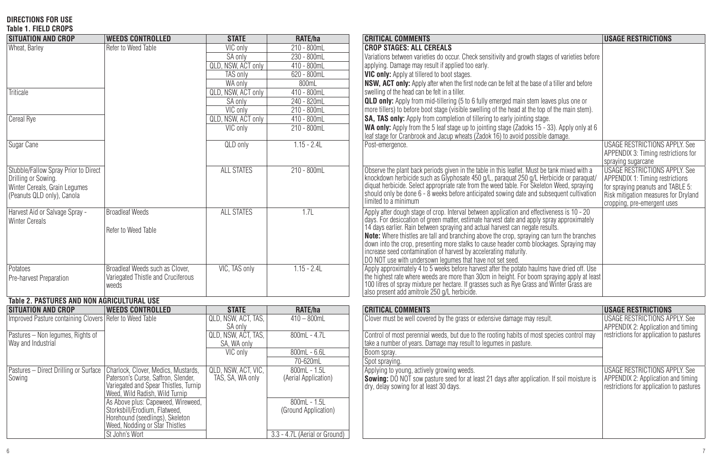## **DIRECTIONS FOR USE Table 1. FIELD CROPS**

| <b>SITUATION AND CROP</b>                                                                                                  | <b>WEEDS CONTROLLED</b>                                                                                                                               | <b>STATE</b>                            | RATE/ha                                | <b>CRITICAL COMMENTS</b>                                                                                                                                                                                                                                                                                                                                                                                                                                                                                                                                                                            | <b>USAGE RESTRICTIONS</b>                                                                                                                                                                  |
|----------------------------------------------------------------------------------------------------------------------------|-------------------------------------------------------------------------------------------------------------------------------------------------------|-----------------------------------------|----------------------------------------|-----------------------------------------------------------------------------------------------------------------------------------------------------------------------------------------------------------------------------------------------------------------------------------------------------------------------------------------------------------------------------------------------------------------------------------------------------------------------------------------------------------------------------------------------------------------------------------------------------|--------------------------------------------------------------------------------------------------------------------------------------------------------------------------------------------|
| Wheat, Barley                                                                                                              | Refer to Weed Table                                                                                                                                   | VIC only                                | 210 - 800mL                            | <b>CROP STAGES: ALL CEREALS</b>                                                                                                                                                                                                                                                                                                                                                                                                                                                                                                                                                                     |                                                                                                                                                                                            |
|                                                                                                                            |                                                                                                                                                       | SA only                                 | $230 - 800mL$                          | Variations between varieties do occur. Check sensitivity and growth stages of varieties before                                                                                                                                                                                                                                                                                                                                                                                                                                                                                                      |                                                                                                                                                                                            |
|                                                                                                                            |                                                                                                                                                       | QLD, NSW, ACT only                      | $410 - 800$ mL                         | applying. Damage may result if applied too early.                                                                                                                                                                                                                                                                                                                                                                                                                                                                                                                                                   |                                                                                                                                                                                            |
|                                                                                                                            |                                                                                                                                                       | <b>TAS only</b>                         | $620 - 800mL$                          | VIC only: Apply at tillered to boot stages.                                                                                                                                                                                                                                                                                                                                                                                                                                                                                                                                                         |                                                                                                                                                                                            |
|                                                                                                                            |                                                                                                                                                       | WA only                                 | 800mL                                  | NSW, ACT only: Apply after when the first node can be felt at the base of a tiller and before                                                                                                                                                                                                                                                                                                                                                                                                                                                                                                       |                                                                                                                                                                                            |
| Triticale                                                                                                                  |                                                                                                                                                       | QLD, NSW, ACT only                      | 410 - 800mL                            | swelling of the head can be felt in a tiller.                                                                                                                                                                                                                                                                                                                                                                                                                                                                                                                                                       |                                                                                                                                                                                            |
|                                                                                                                            |                                                                                                                                                       | SA only                                 | 240 - 820mL                            | <b>QLD only:</b> Apply from mid-tillering (5 to 6 fully emerged main stem leaves plus one or                                                                                                                                                                                                                                                                                                                                                                                                                                                                                                        |                                                                                                                                                                                            |
|                                                                                                                            |                                                                                                                                                       | VIC only                                | $210 - 800mL$                          | more tillers) to before boot stage (visible swelling of the head at the top of the main stem).                                                                                                                                                                                                                                                                                                                                                                                                                                                                                                      |                                                                                                                                                                                            |
| Cereal Rye                                                                                                                 |                                                                                                                                                       | <b>QLD, NSW, ACT only</b>               | $410 - 800mL$                          | SA, TAS only: Apply from completion of tillering to early jointing stage.                                                                                                                                                                                                                                                                                                                                                                                                                                                                                                                           |                                                                                                                                                                                            |
|                                                                                                                            |                                                                                                                                                       | VIC only                                | $210 - 800mL$                          | WA only: Apply from the 5 leaf stage up to jointing stage (Zadoks 15 - 33). Apply only at 6<br>leaf stage for Cranbrook and Jacup wheats (Zadok 16) to avoid possible damage.                                                                                                                                                                                                                                                                                                                                                                                                                       |                                                                                                                                                                                            |
| Sugar Cane                                                                                                                 |                                                                                                                                                       | QLD only                                | $1.15 - 2.4L$                          | Post-emergence.                                                                                                                                                                                                                                                                                                                                                                                                                                                                                                                                                                                     | <b>USAGE RESTRICTIONS APPLY. See</b><br>APPENDIX 3: Timing restrictions for<br>spraying sugarcane                                                                                          |
| Stubble/Fallow Spray Prior to Direct<br>Drilling or Sowing.<br>Winter Cereals, Grain Legumes<br>(Peanuts QLD only). Canola |                                                                                                                                                       | <b>ALL STATES</b>                       | $210 - 800$ mL                         | Observe the plant back periods given in the table in this leaflet. Must be tank mixed with a<br>knockdown herbicide such as Glyphosate 450 g/L, paraquat 250 g/L Herbicide or paraquat/<br>diquat herbicide. Select appropriate rate<br>should only be done 6 - 8 weeks before anticipated sowing date and subsequent cultivation<br>limited to a minimum                                                                                                                                                                                                                                           | <b>USAGE RESTRICTIONS APPLY. See</b><br><b>APPENDIX 1: Timing restrictions</b><br>for spraying peanuts and TABLE 5:<br>Risk mitigation measures for Dryland<br>cropping, pre-emergent uses |
| Harvest Aid or Salvage Spray -<br><b>Winter Cereals</b>                                                                    | Broadleaf Weeds<br>Refer to Weed Table                                                                                                                | ALL STATES                              | 1.71                                   | Apply after dough stage of crop. Interval between application and effectiveness is 10 - 20<br>days. For desiccation of green matter, estimate harvest date and apply spray approximately<br>14 days earlier. Rain between spraying and actual harvest can negate results.<br>Note: Where thistles are tall and branching above the crop, spraying can turn the branches<br>down into the crop, presenting more stalks to cause header comb blockages. Spraying may<br>increase seed contamination of harvest by accelerating maturity.<br>DO NOT use with undersown lequmes that have not set seed. |                                                                                                                                                                                            |
| Potatoes<br>Pre-harvest Preparation                                                                                        | Broadleaf Weeds such as Clover.<br>Variegated Thistle and Cruciferous<br>weeds                                                                        | VIC. TAS only                           | $1.15 - 2.4L$                          | Apply approximately 4 to 5 weeks before harvest after the potato haulms have dried off. Use<br>the highest rate where weeds are more than 30cm in height. For boom spraying apply at least<br>100 litres of spray mixture per hectare. If grasses such as Rye Grass and Winter Grass are<br>also present add amitrole 250 g/L herbicide.                                                                                                                                                                                                                                                            |                                                                                                                                                                                            |
| Table 2. PASTURES AND NON AGRICULTURAL USE                                                                                 |                                                                                                                                                       |                                         |                                        |                                                                                                                                                                                                                                                                                                                                                                                                                                                                                                                                                                                                     |                                                                                                                                                                                            |
| <b>SITUATION AND CROP</b>                                                                                                  | <b>WEEDS CONTROLLED</b>                                                                                                                               | <b>STATE</b>                            | RATE/ha                                | <b>CRITICAL COMMENTS</b>                                                                                                                                                                                                                                                                                                                                                                                                                                                                                                                                                                            | <b>USAGE RESTRICTIONS</b>                                                                                                                                                                  |
| Improved Pasture containing Clovers Refer to Weed Table                                                                    |                                                                                                                                                       | QLD, NSW, ACT, TAS.<br>SA only          | $410 - 800$ ml                         | Clover must be well covered by the grass or extensive damage may result.                                                                                                                                                                                                                                                                                                                                                                                                                                                                                                                            | <b>USAGE RESTRICTIONS APPLY. See</b><br>APPENDIX 2: Application and timing                                                                                                                 |
| Pastures - Non legumes, Rights of<br>Way and Industrial                                                                    |                                                                                                                                                       | QLD, NSW, ACT, TAS.<br>SA, WA only      | $800ml - 4.7l$                         | Control of most perennial weeds, but due to the rooting habits of most species control may<br>take a number of years. Damage may result to legumes in pasture.                                                                                                                                                                                                                                                                                                                                                                                                                                      | restrictions for application to pastures                                                                                                                                                   |
|                                                                                                                            |                                                                                                                                                       | VIC only                                | 800mL - 6.6L                           | Boom sprav.                                                                                                                                                                                                                                                                                                                                                                                                                                                                                                                                                                                         |                                                                                                                                                                                            |
|                                                                                                                            |                                                                                                                                                       |                                         | 70-620mL                               | Spot spraying.                                                                                                                                                                                                                                                                                                                                                                                                                                                                                                                                                                                      |                                                                                                                                                                                            |
| Pastures - Direct Drilling or Surface<br>Sowing                                                                            | Charlock, Clover, Medics, Mustards,<br>Paterson's Curse, Saffron, Slender,<br>Variegated and Spear Thistles, Turnip<br>Weed. Wild Radish. Wild Turnip | OLD, NSW, ACT, VIC.<br>TAS, SA, WA only | $800ml - 1.5l$<br>(Aerial Application) | Applying to young, actively growing weeds.<br>Sowing: DO NOT sow pasture seed for at least 21 days after application. If soil moisture is<br>dry, delay sowing for at least 30 days.                                                                                                                                                                                                                                                                                                                                                                                                                | <b>USAGE RESTRICTIONS APPLY. See</b><br>APPENDIX 2: Application and timing<br>restrictions for application to pastures                                                                     |
|                                                                                                                            | As Above plus: Capeweed, Wireweed,<br>Storksbill/Erodium, Flatweed.<br>Horehound (seedlings), Skeleton<br>Weed, Nodding or Star Thistles              |                                         | $800ml - 1.5l$<br>(Ground Application) |                                                                                                                                                                                                                                                                                                                                                                                                                                                                                                                                                                                                     |                                                                                                                                                                                            |
|                                                                                                                            | St John's Wort                                                                                                                                        |                                         | 3.3 - 4.7L (Aerial or Ground)          |                                                                                                                                                                                                                                                                                                                                                                                                                                                                                                                                                                                                     |                                                                                                                                                                                            |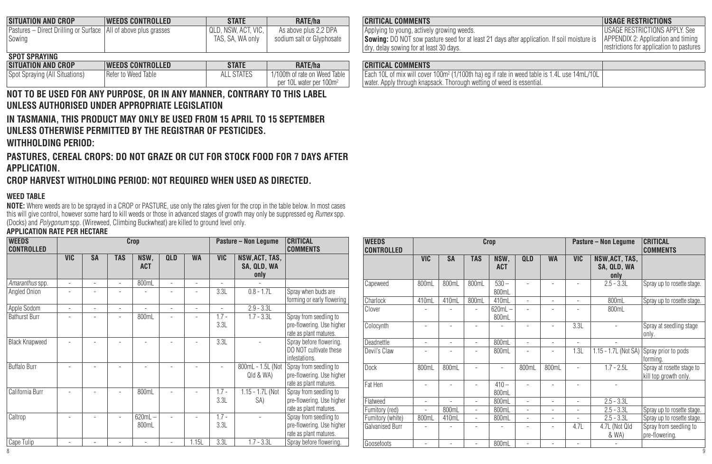| <b>SITUATION AND CROP</b>                                         | <b>WEEDS CONTROLLED</b> | <b>STATE</b>        | RATE/ha                   | <b>CRITICAL COMMENTS</b>                                                                                              | <b>USAGE RESTRICTIONS</b>    |
|-------------------------------------------------------------------|-------------------------|---------------------|---------------------------|-----------------------------------------------------------------------------------------------------------------------|------------------------------|
| Pastures – Direct Drilling or Surface   All of above plus grasses |                         | QLD, NSW, ACT, VIC. | As above plus 2.2 DPA     | Applying to young, actively growing weeds.                                                                            | <b>USAGE RESTRICTIONS AR</b> |
| Sowing                                                            |                         | TAS. SA. WA only    | sodium salt or Glyphosate | Sowing: DO NOT sow pasture seed for at least 21 days after application. If soil moisture is APPENDIX 2: Application a |                              |
|                                                                   |                         |                     |                           | I dry, delay sowing for at least 30 days.                                                                             | restrictions for application |

#### **SPOT SPRAYING**

| <b>SITUATION AND CROP</b>      | <b>WEEDS CONTROLLED</b> | <b>STATL</b> | RATE/ha                                                              | <b>CRITICAL COMMENTS</b>                               |
|--------------------------------|-------------------------|--------------|----------------------------------------------------------------------|--------------------------------------------------------|
| Spot Spraying (All Situations) | Refer to Weed Table     |              | 1/100th of rate on Weed Table<br>per 10L water per 100m <sup>2</sup> | Each 10L of mix will cove<br>water. Apply through knap |
|                                |                         |              |                                                                      |                                                        |

## **NOT TO BE USED FOR ANY PURPOSE, OR IN ANY MANNER, CONTRARY TO THIS LABEL UNLESS AUTHORISED UNDER APPROPRIATE LEGISLATION**

**IN TASMANIA, THIS PRODUCT MAY ONLY BE USED FROM 15 APRIL TO 15 SEPTEMBER UNLESS OTHERWISE PERMITTED BY THE REGISTRAR OF PESTICIDES. WITHHOLDING PERIOD:**

**PASTURES, CEREAL CROPS: DO NOT GRAZE OR CUT FOR STOCK FOOD FOR 7 DAYS AFTER APPLICATION.**

**CROP HARVEST WITHOLDING PERIOD: NOT REQUIRED WHEN USED AS DIRECTED.**

#### **WEED TABLE**

**NOTE:** Where weeds are to be sprayed in a CROP or PASTURE, use only the rates given for the crop in the table below. In most cases this will give control, however some hard to kill weeds or those in advanced stages ot growth may only be suppressed eg *Rumex* spp.<br>(Docks) and *Polygonum* spp. (Wireweed, Climbing Buckwheat) are killed to ground level on

#### **APPLICATION RATE PER HECTARE**

| <b>WEEDS</b><br><b>CONTROLLED</b> | Crop           |                |                          |                    |                |                | <b>Pasture - Non Legume</b> | CRITICAL<br><b>COMMENTS</b>           |                                                                               |
|-----------------------------------|----------------|----------------|--------------------------|--------------------|----------------|----------------|-----------------------------|---------------------------------------|-------------------------------------------------------------------------------|
|                                   | <b>VIC</b>     | <b>SA</b>      | <b>TAS</b>               | NSW.<br><b>ACT</b> | <b>QLD</b>     | <b>WA</b>      | <b>VIC</b>                  | NSW, ACT, TAS,<br>SA, QLD, WA<br>only |                                                                               |
| Amaranthus spp.                   | ٠              | ٠              | $\overline{a}$           | 800mL              | $\overline{a}$ | L.             | $\overline{a}$              |                                       |                                                                               |
| Angled Onion                      |                |                |                          |                    |                | $\overline{a}$ | 3.3L                        | $0.8 - 1.7L$                          | Spray when buds are<br>forming or early flowering                             |
| Apple Sodom                       | $\overline{a}$ | $\overline{a}$ | $\overline{a}$           | ٠                  | $\overline{a}$ | L,             | $\overline{a}$              | $2.9 - 3.3L$                          |                                                                               |
| <b>Bathurst Burr</b>              |                |                |                          | 800mL              | $\overline{a}$ | $\overline{a}$ | $1.7 -$<br>3.3L             | $1.7 - 3.3L$                          | Spray from seedling to<br>pre-flowering. Use higher<br>rate as plant matures. |
| <b>Black Knapweed</b>             |                |                |                          | $\overline{a}$     |                | Ĭ.             | 3.3L                        |                                       | Spray before flowering.<br>DO NOT cultivate these<br>infestations.            |
| <b>Buffalo Burr</b>               |                |                |                          |                    |                |                |                             | 800mL - 1.5L (Not<br>Qld & WA)        | Sorav from seedling to<br>pre-flowering. Use higher<br>rate as plant matures. |
| California Burr                   |                |                |                          | 800mL              |                |                | $1.7 -$<br>3.3L             | 1.15 - 1.7L (Not<br>SA)               | Spray from seedling to<br>pre-flowering. Use higher<br>rate as plant matures. |
| Caltrop                           |                |                |                          | $620mL -$<br>800mL |                |                | $1.7 -$<br>3.3L             |                                       | Spray from seedling to<br>pre-flowering. Use higher<br>rate as plant matures. |
| Cape Tulip                        | ٠              | $\overline{a}$ | $\overline{\phantom{a}}$ | $\overline{a}$     | $\overline{a}$ | 1.15L          | 3.3L                        | $1.7 - 3.3L$                          | Spray before flowering.                                                       |

| <b>CRITICAL COMMENTS</b>                                                                           | <b>USAGE RESTRICTIONS</b>                |
|----------------------------------------------------------------------------------------------------|------------------------------------------|
| Applying to young, actively growing weeds.                                                         | USAGE RESTRICTIONS APPLY. See            |
| <b>Sowing:</b> DO NOT sow pasture seed for at least 21 days after application. If soil moisture is | APPENDIX 2: Application and timing       |
| dry, delay sowing for at least 30 days.                                                            | restrictions for application to pastures |

| <b>CRITICAL COMMENTS</b>                                                                                                                                                         |  |
|----------------------------------------------------------------------------------------------------------------------------------------------------------------------------------|--|
| Each 10L of mix will cover 100m <sup>2</sup> (1/100th ha) eq if rate in weed table is 1.4L use 14mL/10L<br>water. Apply through knapsack. Thorough wetting of weed is essential. |  |

| <b>WEEDS</b><br><b>CONTROLLED</b>   | Crop                     |                          |                          |                          |                          |                                    |                                     | Pasture – Non Legume                  | CRITICAL<br><b>COMMENTS</b>                         | <b>WEEDS</b><br><b>CONTROLLED</b> | Crop       |                |                          |                          |                          |                          |                          | Pasture - Non Lequme                  | CRITICAL<br><b>COMMENTS</b>                          |
|-------------------------------------|--------------------------|--------------------------|--------------------------|--------------------------|--------------------------|------------------------------------|-------------------------------------|---------------------------------------|-----------------------------------------------------|-----------------------------------|------------|----------------|--------------------------|--------------------------|--------------------------|--------------------------|--------------------------|---------------------------------------|------------------------------------------------------|
|                                     | <b>VIC</b>               | <b>SA</b>                | <b>TAS</b>               | NSW,<br><b>ACT</b>       | <b>QLD</b>               | <b>WA</b>                          | <b>VIC</b>                          | NSW, ACT, TAS,<br>SA, QLD, WA<br>only |                                                     |                                   | <b>VIC</b> | <b>SA</b>      | <b>TAS</b>               | <b>NSW</b><br><b>ACT</b> | <b>QLD</b>               | <b>WA</b>                | <b>VIC</b>               | NSW, ACT, TAS,<br>SA, QLD, WA<br>only |                                                      |
| Amaranthus sop.                     | $\overline{\phantom{a}}$ | $\sim$                   |                          | 800mL                    |                          | $\sim$                             | $\overline{\phantom{a}}$            |                                       |                                                     | Capeweed                          | 800mL      | 800mL          | 800mL                    | $530 -$                  |                          | $\overline{\phantom{a}}$ | $\overline{\phantom{a}}$ | $2.5 - 3.3L$                          | Spray up to rosette stage.                           |
| Angled Onion                        |                          | $\overline{a}$           |                          |                          | -                        | $\sim$                             | 3.3L                                | $0.8 - 1.7L$                          | Sorav when buds are                                 |                                   |            |                |                          | 800mL                    |                          |                          |                          |                                       |                                                      |
|                                     |                          |                          |                          |                          |                          |                                    |                                     |                                       | forming or early flowering                          | Charlock                          | 410mL      | 410mL          | 800mL                    | 410mL                    |                          | $\overline{\phantom{a}}$ | $\sim$                   | 800mL                                 | Spray up to rosette stage.                           |
| Apple Sodom<br><b>Bathurst Burr</b> | $\overline{\phantom{a}}$ | $\sim$<br>$\overline{a}$ | $\sim$                   | 800mL                    | $\overline{\phantom{a}}$ | $\sim$<br>$\overline{\phantom{a}}$ | $\overline{\phantom{a}}$<br>$1.7 -$ | $2.9 - 3.3L$<br>$1.7 - 3.3L$          | Spray from seedling to                              | Clover                            |            |                | $\overline{\phantom{a}}$ | 620mL<br>800mL           |                          | $\overline{\phantom{a}}$ | $\overline{\phantom{a}}$ | 800mL                                 |                                                      |
|                                     |                          |                          |                          |                          |                          |                                    | 3.3L                                |                                       | pre-flowering. Use higher<br>rate as plant matures. | Colocynth                         |            |                |                          |                          |                          | $\overline{\phantom{a}}$ | 3.3L                     |                                       | Spray at seedling stage<br>only                      |
| <b>Black Knapweed</b>               | $\overline{\phantom{a}}$ | $\sim$                   | $\overline{\phantom{a}}$ | $\overline{\phantom{a}}$ | $\overline{\phantom{a}}$ | $\sim$                             | 3.3L                                | $\overline{\phantom{a}}$              | Spray before flowering.                             | Deadnettle                        |            |                | $\overline{\phantom{a}}$ | 800mL                    |                          |                          | $\overline{\phantom{a}}$ |                                       |                                                      |
|                                     |                          |                          |                          |                          |                          |                                    |                                     |                                       | DO NOT cultivate these<br>infestations.             | Devil's Claw                      |            |                | $\overline{\phantom{a}}$ | 800mL                    |                          | $\overline{\phantom{a}}$ | 1.3L                     |                                       | 1.15 - 1.7L (Not SA) Spray prior to pods<br>formina. |
| <b>Buffalo Burr</b>                 |                          |                          |                          |                          |                          | $\overline{\phantom{a}}$           |                                     | 800mL - 1.5L (Not<br>Qld & WA)        | Spray from seedling to<br>pre-flowering. Use higher | Dock                              | 800mL      | 800mL          | $\overline{\phantom{a}}$ |                          | 800mL                    | 800mL                    | $\sim$                   | $1.7 - 2.5L$                          | Spray at rosette stage to<br>kill top growth only.   |
|                                     |                          |                          |                          |                          |                          |                                    |                                     |                                       | rate as plant matures.                              | Fat Hen                           |            |                | $\sim$                   | $410 -$                  |                          | $\overline{\phantom{a}}$ | ٠                        |                                       |                                                      |
| California Burr                     |                          | $\sim$                   |                          | 800mL                    |                          | $\sim$                             | $1.7 -$                             | 1.15 - 1.7L (Not                      | Spray from seedling to                              |                                   |            |                |                          | 800mL                    |                          |                          |                          |                                       |                                                      |
|                                     |                          |                          |                          |                          |                          |                                    | 3.3L                                | SA)                                   | pre-flowering. Use higher                           | Flatweed                          |            | $\overline{a}$ | $\sim$                   | 800mL                    |                          | $\overline{\phantom{a}}$ | $\sim$                   | $2.5 - 3.3L$                          |                                                      |
|                                     |                          |                          |                          |                          |                          |                                    |                                     |                                       | rate as plant matures.                              | Fumitory (red)                    |            | 800mL          | $\sim$                   | 800mL                    |                          | $\overline{\phantom{a}}$ | $\sim$                   | $2.5 - 3.3L$                          | Spray up to rosette stage.                           |
| Caltrop                             |                          |                          |                          | 620mL                    |                          | $\overline{\phantom{a}}$           | $1.7 -$                             | $\sim$                                | Spray from seedling to                              | Fumitory (white)                  | 800mL      | 410mL          | $\sim$                   | 800mL                    | $\overline{\phantom{a}}$ | $\overline{\phantom{a}}$ | $\sim$                   | $2.5 - 3.3L$                          | Spray up to rosette stage.                           |
|                                     |                          |                          |                          | 800mL                    |                          |                                    | 3.3L                                |                                       | pre-flowering. Use higher                           | Galvanised Burr                   |            |                | $\overline{\phantom{a}}$ | $\overline{\phantom{a}}$ |                          | $\overline{\phantom{a}}$ | 4.7L                     | 4.7L (Not Qld                         | Spray from seedling to                               |
|                                     |                          |                          |                          |                          |                          |                                    |                                     |                                       | rate as plant matures.                              |                                   |            |                |                          |                          |                          |                          |                          | & WA)                                 | pre-flowering.                                       |
| Cape Tulip                          |                          |                          |                          |                          |                          | 1.15L                              | 3.3L                                | $1.7 - 3.3L$                          | Spray before flowering.                             | Goosefoots                        |            |                |                          | 800mL                    |                          |                          |                          |                                       |                                                      |
|                                     |                          |                          |                          |                          |                          |                                    |                                     |                                       |                                                     |                                   |            |                |                          |                          |                          |                          |                          |                                       |                                                      |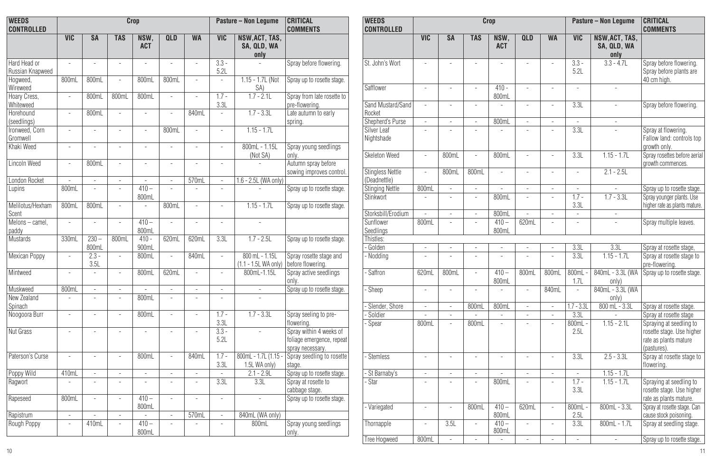| <b>WEEDS</b><br><b>CONTROLLED</b>        | Crop                          |                 |                                |                          |                          |                          |                          | Pasture - Non Lequme                   | CRITICAL<br><b>COMMENTS</b>                                              | <b>WEEDS</b><br><b>CONTROLLED</b>       | Crop                     |                          |                          |                          |                          |                          |                          | <b>Pasture - Non Lequme</b>           | CRITICAL<br><b>COMMENTS</b>                                      |
|------------------------------------------|-------------------------------|-----------------|--------------------------------|--------------------------|--------------------------|--------------------------|--------------------------|----------------------------------------|--------------------------------------------------------------------------|-----------------------------------------|--------------------------|--------------------------|--------------------------|--------------------------|--------------------------|--------------------------|--------------------------|---------------------------------------|------------------------------------------------------------------|
|                                          | <b>VIC</b>                    | <b>SA</b>       | <b>TAS</b>                     | <b>NSW</b><br><b>ACT</b> | <b>QLD</b>               | <b>WA</b>                | <b>VIC</b>               | NSW, ACT, TAS.<br>SA. QLD. WA<br>only  |                                                                          |                                         | <b>VIC</b>               | <b>SA</b>                | <b>TAS</b>               | <b>NSW</b><br><b>ACT</b> | <b>QLD</b>               | <b>WA</b>                | <b>VIC</b>               | NSW, ACT, TAS.<br>SA. QLD. WA<br>only |                                                                  |
| Hard Head or<br>Russian Knapweed         | ٠                             | ٠               | ٠                              | ٠                        | ٠                        | $\overline{\phantom{a}}$ | $3.3 -$<br>5.2L          | ٠                                      | Spray before flowering.                                                  | St. John's Wort                         | $\overline{\phantom{a}}$ | ٠                        | $\overline{\phantom{a}}$ | ÷,                       | ٠                        |                          | $3.3 -$<br>5.2L          | $3.3 - 4.7$                           | Spray before flowering.<br>Spray before plants are               |
| Hogweed<br>Wireweed                      | 800ml                         | 800mL           | $\overline{\phantom{a}}$       | 800ml                    | 800mL                    |                          | $\overline{\phantom{a}}$ | 1.15 - 1.7L (Not<br>SA)                | Spray up to rosette stage.                                               | Safflower                               | $\overline{\phantom{a}}$ |                          | $\overline{\phantom{a}}$ | $410 -$                  |                          |                          |                          | ÷                                     | 40 cm high.                                                      |
| Hoary Cress,<br>Whiteweed                | $\sim$                        | 800mL           | 800mL                          | 800m                     | ٠                        |                          | $1.7 -$<br>3.3L          | $1.7 - 2.1L$                           | Spray from late rosette to<br>pre-flowerina.                             | Sand Mustard/Sand                       | $\sim$                   | ٠                        | $\overline{\phantom{a}}$ | 800mL<br>÷               | ٠                        | $\overline{\phantom{a}}$ | 3.3L                     | ÷                                     | Spray before flowering                                           |
| Horehound<br>(seedlings)                 | ٠                             | 800mL           | ٠                              | ÷,                       | ٠                        | 840ml                    | $\sim$                   | $1.7 - 3.3L$                           | Late autumn to early<br>sprina                                           | Rocket<br><b>Shepherd's Purse</b>       | $\sim$                   | $\overline{\phantom{a}}$ | ۰.                       | 800ml                    | ٠                        | $\overline{\phantom{a}}$ | $\sim$                   | ٠                                     |                                                                  |
| Ironweed, Corn<br>Gromwell<br>Khaki Weed | $\overline{\phantom{a}}$<br>٠ |                 | $\overline{\phantom{a}}$<br>÷, | ٠<br>٠                   | 800mL<br>$\overline{a}$  |                          | $\sim$<br>٠              | $1.15 - 1.7$ L<br>800mL - 1.15L        | Spray young seedlings                                                    | Silver Leaf<br>Nightshade               |                          |                          |                          |                          | $\overline{\phantom{a}}$ |                          | 3.3L                     |                                       | Spray at flowering.<br>Fallow land: controls top<br>growth only. |
| Lincoln Weed                             | $\sim$                        | 800mL           | $\overline{\phantom{a}}$       | $\overline{\phantom{a}}$ | $\overline{\phantom{a}}$ |                          | $\overline{\phantom{a}}$ | (Not SA)<br>$\sim$                     | onlv.<br>Autumn spray before                                             | Skeleton Weed                           | ٠                        | 800mL                    | $\sim$                   | 800mL                    | ٠                        | $\overline{\phantom{a}}$ | 3.3L                     | $1.15 - 1.7L$                         | Spray rosettes before aerial<br>growth commences.                |
| London Rocket                            |                               |                 | $\overline{\phantom{a}}$       | ÷                        | ٠                        | 570ml                    | $\sim$                   | 1.6 - 2.5L (WA only)                   | sowing improves control.                                                 | <b>Stingless Nettle</b><br>(Deadnettle) | ٠                        | 800mL                    | 800mL                    | ÷                        | ÷,                       | $\overline{\phantom{a}}$ | ٠                        | $2.1 - 2.5L$                          |                                                                  |
| Lupins                                   | 800ml                         | ٠               | ÷,                             | $410 -$                  | $\overline{a}$           |                          | ٠                        |                                        | Spray up to rosette stage.                                               | Stinging Nettle                         | 800mL                    | ÷                        | ٠                        | ٠                        | $\overline{a}$           |                          | $\overline{\phantom{a}}$ |                                       | Spray up to rosette stage.                                       |
| Melilotus/Hexham                         | 800mL                         | 800mL           | ÷,                             | 800mL<br>÷,              | 800mL                    | $\overline{\phantom{a}}$ | $\sim$                   | $1.15 - 1.7L$                          | Spray up to rosette stage.                                               | Stinkwort                               |                          |                          | ٠.                       | 800ml                    | ٠                        |                          | $1.7 -$<br>3.3L          | $1.7 - 3.3L$                          | Spray younger plants. Use<br>higher rate as plants mature.       |
| Scent                                    |                               |                 |                                |                          |                          |                          |                          |                                        |                                                                          | Storksbill/Erodium                      | ٠                        | $\overline{\phantom{a}}$ | $\overline{\phantom{a}}$ | 800ml                    | $\overline{\phantom{a}}$ |                          | $\sim$                   | $\sim$                                |                                                                  |
| Melons - camel<br>paddy                  | $\overline{a}$                | ٠               | ٠                              | $410 -$<br>800mL         | $\overline{\phantom{a}}$ |                          | $\overline{\phantom{a}}$ | $\overline{a}$                         |                                                                          | Sunflower<br>Seedlings                  | 800mL                    | $\sim$                   | $\overline{\phantom{a}}$ | $410 -$<br>800mL         | 620mL                    |                          | $\overline{a}$           | ٠                                     | Spray multiple leaves.                                           |
| Mustards                                 | 330ml                         | $230 -$         | 800mL                          | $410 -$                  | 620mL                    | 620ml                    | 3.3L                     | $1.7 - 2.5L$                           | Spray up to rosette stage.                                               | Thistles:                               |                          |                          |                          |                          |                          |                          |                          |                                       |                                                                  |
|                                          |                               | 800mL           |                                | 900mL                    |                          |                          |                          |                                        |                                                                          | Golden                                  | ٠                        | $\sim$                   | $\overline{\phantom{a}}$ | $\sim$                   | ٠                        | $\overline{\phantom{a}}$ | 3.3L                     | 3.3L                                  | Spray at rosette stage,                                          |
| Mexican Poppy                            |                               | $2.3 -$<br>3.5L | $\overline{\phantom{a}}$       | 800ml                    |                          | 840mL                    | $\overline{\phantom{a}}$ | 800 mL - 1.15L<br>(1.1 - 1.5L WA only) | Spray rosette stage and<br>before flowering.                             | Nodding                                 |                          |                          | $\overline{\phantom{a}}$ | ٠                        | ٠                        |                          | 3.3L                     | $1.15 - 1.7L$                         | Spray at rosette stage to<br>pre-flowering.                      |
| Mintweed                                 | $\sim$                        |                 | $\overline{\phantom{a}}$       | 800mL                    | 620mL                    |                          | ٠                        | 800mL-1.15L                            | Spray active seedlings<br>onlv.                                          | Saffron                                 | 620mL                    | 800mL                    | $\overline{\phantom{a}}$ | $410 -$<br>800mL         | 800mL                    | 800mL                    | 800mL<br>1.7L            | 840mL - 3.3L (WA<br>only)             | Spray up to rosette stage                                        |
| Muskweed                                 | 800ml                         | ٠               | $\overline{\phantom{a}}$       | $\overline{\phantom{a}}$ | ٠                        | $\overline{\phantom{a}}$ | $\overline{\phantom{a}}$ | $\overline{\phantom{a}}$               | Spray up to rosette stage.                                               | Sheep                                   | ٠                        | ٠                        | $\overline{\phantom{a}}$ | $\overline{\phantom{a}}$ | ÷,                       | 840ml                    | $\sim$                   | 840mL - 3.3L (WA                      |                                                                  |
| New Zealand<br>Spinach                   | $\sim$                        | ٠               | $\overline{\phantom{a}}$       | 800mL                    | ٠                        | $\overline{a}$           | ٠                        | ÷.                                     |                                                                          | Slender, Shore                          | ٠                        | ÷                        | 800ml                    | 800mL                    | ٠                        | $\overline{\phantom{a}}$ | $1.7 - 3.31$             | only)<br>$800$ mL - $3.3$ L           | Spray at rosette stage.                                          |
| Noogoora Burr                            | $\sim$                        | ٠               | $\overline{\phantom{a}}$       | 800mL                    | $\overline{\phantom{a}}$ |                          | $1.7 -$                  | $1.7 - 3.3L$                           | Spray seeling to pre-                                                    | Soldier                                 | ٠                        | ÷                        |                          | $\sim$                   | ٠                        | $\overline{\phantom{a}}$ | 3.3L                     |                                       | Spray at rosette stage                                           |
|                                          |                               |                 |                                |                          |                          |                          | 3.3L                     |                                        | lowering                                                                 | Spear                                   | 800mL                    |                          | 800mL                    | ٠                        | ٠                        |                          | 800mL                    | $1.15 - 2.1L$                         | Spraying at seedling to                                          |
| <b>Nut Grass</b>                         | $\sim$                        |                 | J.                             | $\overline{a}$           | ٠                        |                          | $3.3 -$<br>5.2L          | $\overline{a}$                         | Sprav within 4 weeks of<br>foliage emergence, repeat<br>spray necessary. |                                         |                          |                          |                          |                          |                          |                          | 2.5L                     |                                       | rosette stage. Use higher<br>rate as plants mature<br>(pastures) |
| Paterson's Curse                         | $\overline{a}$                | ٠               | $\overline{\phantom{a}}$       | 800mL                    | ٠                        | 840ml                    | $1.7 -$<br>3.3L          | 800mL - 1.7L (1.15 -<br>1.5L WA only)  | Spray seedling to rosette<br>stage.                                      | <b>Stemless</b>                         |                          |                          | ٠                        | ٠                        | ٠                        |                          | 3.3L                     | $2.5 - 3.31$                          | Spray at rosette stage to<br>flowering.                          |
| Poppy Wild                               | 410ml                         | ٠               | ٠                              | ٠                        | ٠                        | $\overline{\phantom{a}}$ | $\sim$                   | $2.1 - 2.9$                            | Spray up to rosette stage.                                               | St Barnaby's                            | $\overline{\phantom{a}}$ | ٠                        | $\overline{\phantom{a}}$ | $\sim$                   | ٠                        | $\overline{\phantom{a}}$ | $\sim$                   | $1.15 - 1.71$                         |                                                                  |
| Ragwort                                  |                               |                 |                                |                          |                          |                          | 3.3L                     | 3.3L                                   | Sorav at rosette to<br>cabbage stage.                                    | Star                                    |                          |                          |                          | 800mL                    | ٠                        |                          | $1.7 -$<br>3.3L          | $1.15 - 1.7L$                         | Spraying at seedling to<br>rosette stage. Use higher             |
| Rapeseed                                 | 800mL                         | ٠               | ٠                              | $410 -$<br>800mL         | $\sim$                   |                          | $\overline{\phantom{a}}$ |                                        | Sprav up to rosette stage.                                               | Variegated                              | $\overline{\phantom{a}}$ | $\overline{\phantom{a}}$ | 800ml                    | $410 -$                  | 620mL                    | $\overline{\phantom{a}}$ | 800mL                    | $800mL - 3.3L$                        | rate as plants mature.<br>Spray at rosette stage. Can            |
| Rapistrum                                | $\sim$                        | ٠               | $\overline{\phantom{a}}$       | $\overline{\phantom{a}}$ | ٠                        | 570ml                    | $\sim$                   | 840mL (WA only)                        |                                                                          |                                         |                          |                          |                          | 800ml                    |                          |                          | 2.5L                     |                                       | cause stock poisoning.                                           |
| Rough Poppy                              | ٠                             | 410mL           | ÷                              | $410 -$<br>800ml         | ÷                        |                          | ÷                        | 800mL                                  | Spray young seedlings<br>onlv.                                           | Thornapple                              | ÷                        | 3.5L                     | $\sim$                   | $410 -$<br>800ml         | ÷                        |                          | 3.3L                     | 800mL - 1.7L                          | Spray at seedling stage                                          |
|                                          |                               |                 |                                |                          |                          |                          |                          |                                        |                                                                          | Tree Hoaweed                            | 800mL                    | $\overline{\phantom{a}}$ | ۰.                       | $\overline{a}$           | $\overline{\phantom{a}}$ |                          | $\overline{a}$           | $\overline{\phantom{a}}$              | Spray up to rosette stage                                        |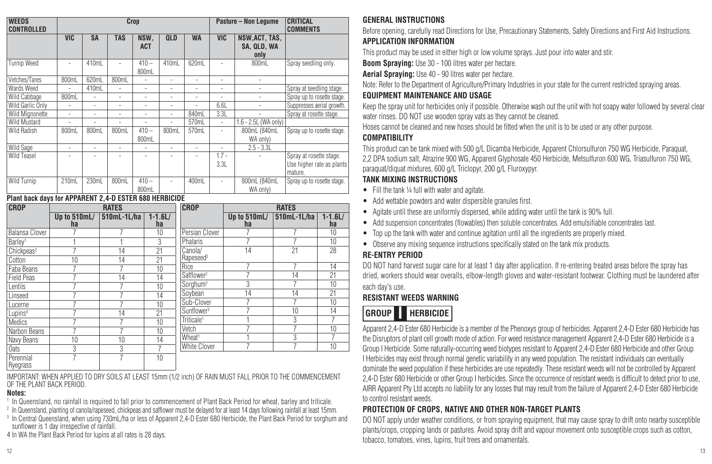| <b>WEEDS</b><br><b>CONTROLLED</b> |                | Crop<br><b>Pasture - Non Lequme</b> |                |                          |                          |                          |                          |                                       | <b>CRITICAL</b><br><b>COMMENTS</b>                              |
|-----------------------------------|----------------|-------------------------------------|----------------|--------------------------|--------------------------|--------------------------|--------------------------|---------------------------------------|-----------------------------------------------------------------|
|                                   | <b>VIC</b>     | <b>SA</b>                           | <b>TAS</b>     | NSW.<br><b>ACT</b>       | <b>QLD</b>               | <b>WA</b>                | <b>VIC</b>               | NSW, ACT, TAS,<br>SA. QLD. WA<br>only |                                                                 |
| Turnip Weed                       | $\overline{a}$ | 410mL                               | $\overline{a}$ | $410 -$<br>800ml         | 410ml                    | 620mL                    |                          | 800mL                                 | Spray seedling only.                                            |
| Vetches/Tares                     | 800mL          | 620mL                               | 800mL          | $\overline{a}$           | $\overline{\phantom{a}}$ | $\overline{\phantom{a}}$ | $\overline{\phantom{a}}$ |                                       |                                                                 |
| Wards Weed                        | $\overline{a}$ | 410mL                               | $\overline{a}$ | $\overline{a}$           | $\overline{\phantom{0}}$ | ۰                        | $\overline{\phantom{a}}$ | $\overline{a}$                        | Spray at seedling stage.                                        |
| Wild Cabbage                      | 800mL          | $\overline{a}$                      | $\overline{a}$ | $\overline{\phantom{a}}$ | $\overline{a}$           | $\overline{a}$           | $\overline{a}$           |                                       | Spray up to rosette stage.                                      |
| Wild Garlic Only                  |                | $\overline{\phantom{a}}$            | $\overline{a}$ | $\overline{\phantom{a}}$ | $\overline{\phantom{a}}$ | $\overline{a}$           | 6.6L                     | $\overline{a}$                        | Suppresses aerial growth.                                       |
| Wild Mignonette                   | $\overline{a}$ | $\overline{a}$                      | $\overline{a}$ | $\overline{a}$           | $\overline{a}$           | 840mL                    | 3.3L                     |                                       | Spray at rosette stage.                                         |
| <b>Wild Mustard</b>               | $\overline{a}$ | $\overline{\phantom{a}}$            | $\overline{a}$ | $\overline{\phantom{a}}$ | $\overline{\phantom{a}}$ | 570mL                    | ٠                        | 1.6 - 2.5L (WA only)                  |                                                                 |
| Wild Radish                       | 800ml          | 800ml                               | 800ml          | $410 -$<br>800mL         | 800ml                    | 570mL                    | $\overline{a}$           | 800mL (840mL)<br>WA only)             | Spray up to rosette stage.                                      |
| Wild Sage                         | $\overline{a}$ | $\overline{a}$                      | $\overline{a}$ | $\overline{a}$           | $\overline{\phantom{a}}$ | ٠                        | $\overline{a}$           | $2.5 - 3.3L$                          |                                                                 |
| Wild Teasel                       |                |                                     |                | $\overline{a}$           |                          | $\overline{a}$           | $1.7 -$<br>3.3L          |                                       | Spray at rosette stage.<br>Use higher rate as plants<br>mature. |
| Wild Turnip                       | 210ml          | 230ml                               | 800mL          | $410 -$<br>800mL         | $\overline{a}$           | 400ml                    | $\overline{a}$           | 800mL (840mL<br>WA only)              | Spray up to rosette stage.                                      |

#### **Plant back days for APPARENT 2,4-D ESTER 680 HERBICIDE**

| <b>CROP</b>            |                    | <b>RATES</b> |                    | <b>CROP</b>            | <b>RATES</b>         |             |                    |  |  |  |  |
|------------------------|--------------------|--------------|--------------------|------------------------|----------------------|-------------|--------------------|--|--|--|--|
|                        | Up to 510mL/<br>ha | 510mL-1L/ha  | $1 - 1.6$ L/<br>ha |                        | Up to $510mL/$<br>ha | 510mL-1L/ha | $1 - 1.6$ L/<br>ha |  |  |  |  |
| Balansa Clover         |                    |              | 10                 | Persian Clover         |                      |             | 10                 |  |  |  |  |
| Barley <sup>1</sup>    |                    |              | 3                  | Phalaris               | 7                    | 7           | 10                 |  |  |  |  |
| Chickpeas <sup>2</sup> |                    | 14           | 21                 | Canola/                | 14                   | $^{21}$     | 28                 |  |  |  |  |
| Cotton                 | 10                 | 14           | 21                 | Rapeseed <sup>2</sup>  |                      |             |                    |  |  |  |  |
| Faba Beans             |                    |              | 10                 | Rice                   |                      |             | 14                 |  |  |  |  |
| <b>Field Peas</b>      |                    | 14           | 14                 | Safflower <sup>2</sup> |                      | 14          | 21                 |  |  |  |  |
| Lentils                |                    |              | 10                 | Sorghum <sup>3</sup>   | 3                    | 7           | 10                 |  |  |  |  |
| Linseed                |                    |              | 14                 | Sovbean                | $1\overline{4}$      | 14          | 21                 |  |  |  |  |
| Lucerne                |                    |              | 10                 | Sub-Clover             | 7                    | 7           | 10                 |  |  |  |  |
| Lupins <sup>4</sup>    |                    | 14           | 21                 | Sunflower <sup>3</sup> | 7                    | 10          | $1\overline{4}$    |  |  |  |  |
| Medics                 |                    |              | 10                 | Triticale <sup>1</sup> |                      | 3           |                    |  |  |  |  |
| Narbon Beans           |                    |              | 10                 | Vetch                  |                      | 7           | 10                 |  |  |  |  |
| Navy Beans             | 10                 | 10           | 14                 | Wheat <sup>1</sup>     |                      | 3           |                    |  |  |  |  |
| Oats                   | 3                  | 3            |                    | White Clover           | 7                    | 7           | 10                 |  |  |  |  |
| Perennial<br>Ryegrass  | 7                  | -            | 10                 |                        |                      |             |                    |  |  |  |  |

IMPORTANT: WHEN APPLIED TO DRY SOILS AT LEAST 15mm (1/2 inch) OF RAIN MUST FALL PRIOR TO THE COMMENCEMENT OF THE PLANT BACK PERIOD.

#### **Notes:**

<sup>1</sup> In Queensland, no rainfall is required to fall prior to commencement of Plant Back Period for wheat, barley and triticale.

<sup>2</sup> In Queensland, planting of canola/rapeseed, chickpeas and safflower must be delayed for at least 14 days following rainfall at least 15mm.

<sup>3</sup> In Central Queensland, when using 730mL/ha or less of Apparent 2,4-D Ester 680 Herbicide, the Plant Back Period for sorghum and sunflower is 1 day irrespective of rainfall.

4 In WA the Plant Back Period for lupins at all rates is 28 days.

## **GENERAL INSTRUCTIONS**

Before opening, carefully read Directions for Use, Precautionary Statements, Safety Directions and First Aid Instructions.

## **APPLICATION INFORMATION**

This product may be used in either high or low volume sprays. Just pour into water and stir.

**Boom Spraying:** Use 30 - 100 litres water per hectare.

**Aerial Spraying:** Use 40 - 90 litres water per hectare.

Note: Refer to the Department of Agriculture/Primary Industries in your state for the current restricted spraying areas.

## **EQUIPMENT MAINTENANCE AND USAGE**

Keep the spray unit for herbicides only if possible. Otherwise wash out the unit with hot soapy water followed by several clear water rinses. DO NOT use wooden spray vats as they cannot be cleaned.

Hoses cannot be cleaned and new hoses should be fitted when the unit is to be used or any other purpose.

## **COMPATIBILITY**

This product can be tank mixed with 500 g/L Dicamba Herbicide, Apparent Chlorsulfuron 750 WG Herbicide, Paraquat, 2,2 DPA sodium salt, Atrazine 900 WG, Apparent Glyphosate 450 Herbicide, Metsulfuron 600 WG, Triasulfuron 750 WG, paraquat/diquat mixtures, 600 g/L Triclopyr, 200 g/L Fluroxypyr.

## **TANK MIXING INSTRUCTIONS**

- Fill the tank ¼ full with water and agitate.
- Add wettable powders and water dispersible granules first.
- Agitate until these are uniformly dispersed, while adding water until the tank is 90% full.
- Add suspension concentrates (flowables) then soluble concentrates. Add emulsifiable concentrates last.
- Top up the tank with water and continue agitation until all the ingredients are properly mixed.
- Observe any mixing sequence instructions specifically stated on the tank mix products.

## **RE-ENTRY PERIOD**

DO NOT hand harvest sugar cane for at least 1 day after application. If re-entering treated areas before the spray has dried, workers should wear overalls, elbow-length gloves and water-resistant footwear. Clothing must be laundered after each day's use.

## **RESISTANT WEEDS WARNING**

**HERBICIDE GROUP I**

Apparent 2,4-D Ester 680 Herbicide is a member of the Phenoxys group of herbicides. Apparent 2,4-D Ester 680 Herbicide has the Disruptors of plant cell growth mode of action. For weed resistance management Apparent 2,4-D Ester 680 Herbicide is a Group I Herbicide. Some naturally-occurring weed biotypes resistant to Apparent 2,4-D Ester 680 Herbicide and other Group I Herbicides may exist through normal genetic variability in any weed population. The resistant individuals can eventually dominate the weed population if these herbicides are use repeatedly. These resistant weeds will not be controlled by Apparent 2,4-D Ester 680 Herbicide or other Group I herbicides. Since the occurrence of resistant weeds is difficult to detect prior to use, AIRR Apparent Pty Ltd accepts no liability for any losses that may result from the failure of Apparent 2,4-D Ester 680 Herbicide to control resistant weeds.

## **PROTECTION OF CROPS, NATIVE AND OTHER NON-TARGET PLANTS**

DO NOT apply under weather conditions, or from spraying equipment, that may cause spray to drift onto nearby susceptible plants/crops, cropping lands or pastures. Avoid spray drift and vapour movement onto susceptible crops such as cotton, tobacco, tomatoes, vines, lupins, fruit trees and ornamentals.